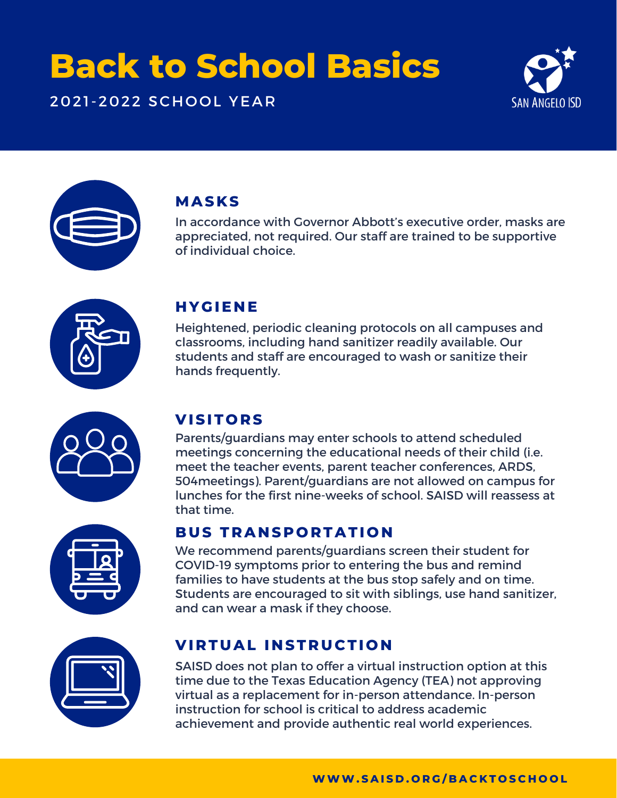# **Back to School Basics**

2021-2022 SCHOOL YEAR





### **MASKS**

In accordance with Governor Abbott's executive order, masks are appreciated, not required. Our staff are trained to be supportive of individual choice.



#### **H YGIE N E**

Heightened, periodic cleaning protocols on all campuses and classrooms, including hand sanitizer readily available. Our students and staff are encouraged to wash or sanitize their hands frequently.



### **VISIT O R S**

Parents/guardians may enter schools to attend scheduled meetings concerning the educational needs of their child (i.e. meet the teacher events, parent teacher conferences, ARDS, 504meetings). Parent/guardians are not allowed on campus for lunches for the first nine-weeks of school. SAISD will reassess at that time.

#### **BUS T RA N S P O R TATI O N**

We recommend parents/guardians screen their student for COVID-19 symptoms prior to entering the bus and remind families to have students at the bus stop safely and on time. Students are encouraged to sit with siblings, use hand sanitizer, and can wear a mask if they choose.



#### **VI R TUAL I N ST RUC TI O N**

SAISD does not plan to offer a virtual instruction option at this time due to the Texas Education Agency (TEA) not approving virtual as a replacement for in-person attendance. In-person instruction for school is critical to address academic achievement and provide authentic real world experiences.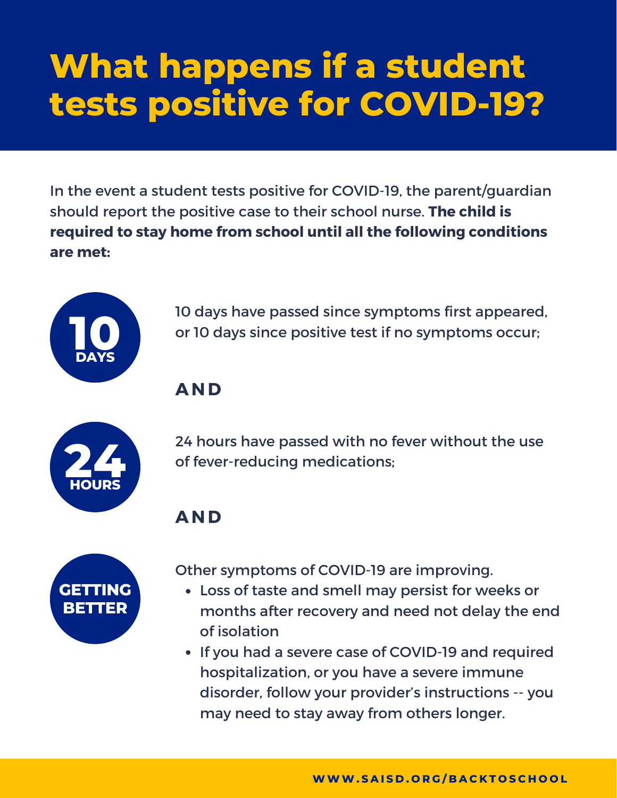# **What happens if a student tests positive for COVID-19?**

In the event a student tests positive for COVID-19, the parent/guardian should report the positive case to their school nurse. **The child is required to stay home from school until all the following conditions are met:**



10 days have passed since symptoms first appeared, or 10 days since positive test if no symptoms occur;

### **AND**



24 hours have passed with no fever without the use of fever-reducing medications;

### **AND**



Other symptoms of COVID-19 are improving.

- Loss of taste and smell may persist for weeks or months after recovery and need not delay the end of isolation
- If you had a severe case of COVID-19 and required hospitalization, or you have a severe immune disorder, follow your provider's instructions -- you may need to stay away from others longer.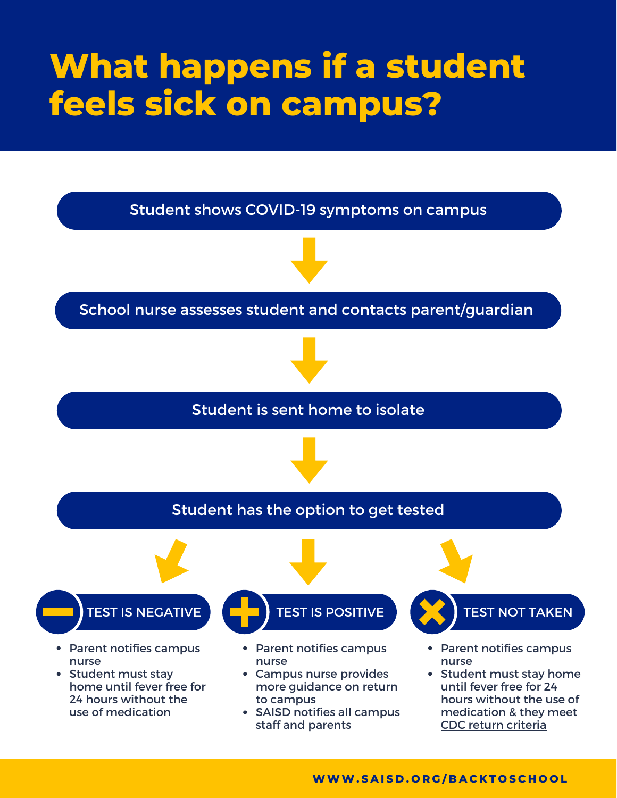# **What happens if a student feels sick on campus?**

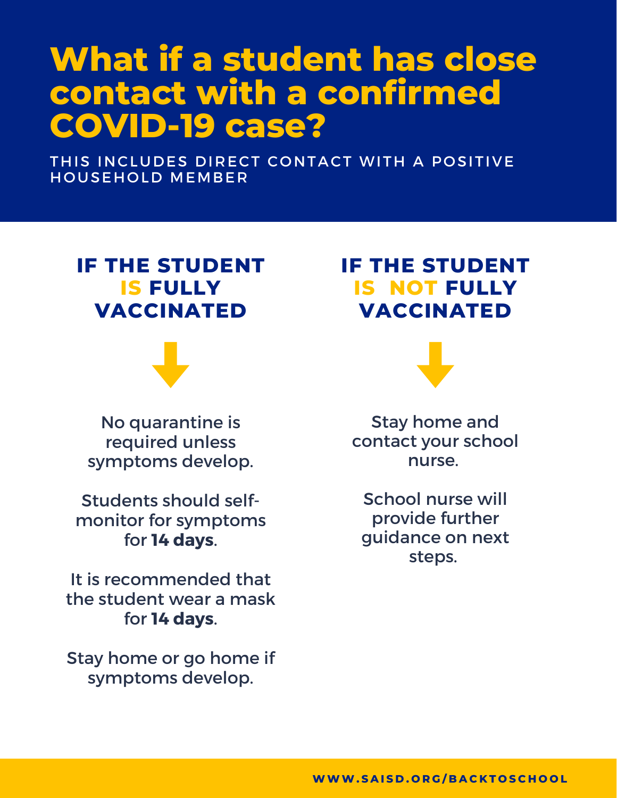## **What if a student has close contact with a confirmed COVID-19 case?**

THIS INCLUDES DIRECT CONTACT WITH A POSITIVE HOUSEHOLD MEMBER

## **IF THE STUDENT IS FULLY VACCINATED**



No quarantine is required unless symptoms develop.

Students should selfmonitor for symptoms for **14 days**.

It is recommended that the student wear a mask for **14 days**.

Stay home or go home if symptoms develop.

## **IF THE STUDENT IS NOT FULLY VACCINATED**



Stay home and contact your school nurse.

School nurse will provide further guidance on next steps.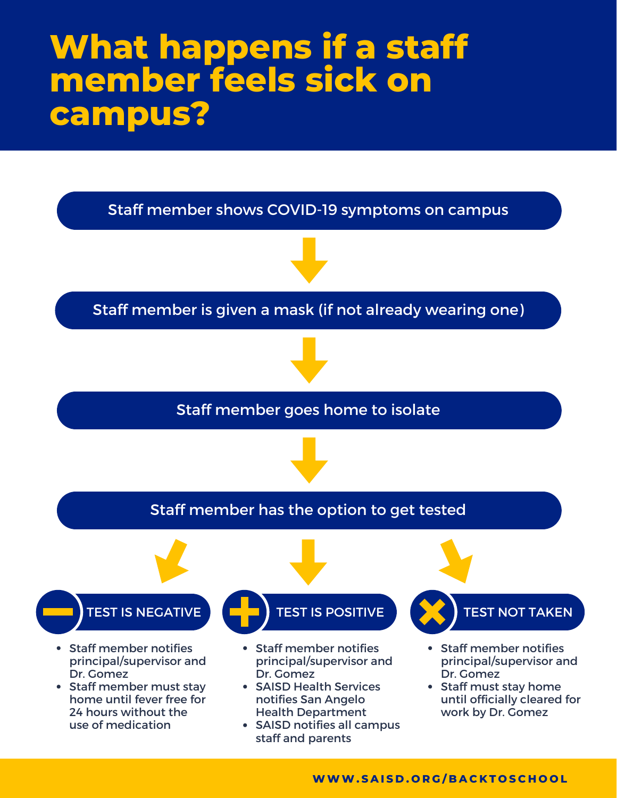## **What happens if a staff member feels sick on campus?**



**WWW. S A I S D . O R G / B A C K T O S C H O O L**